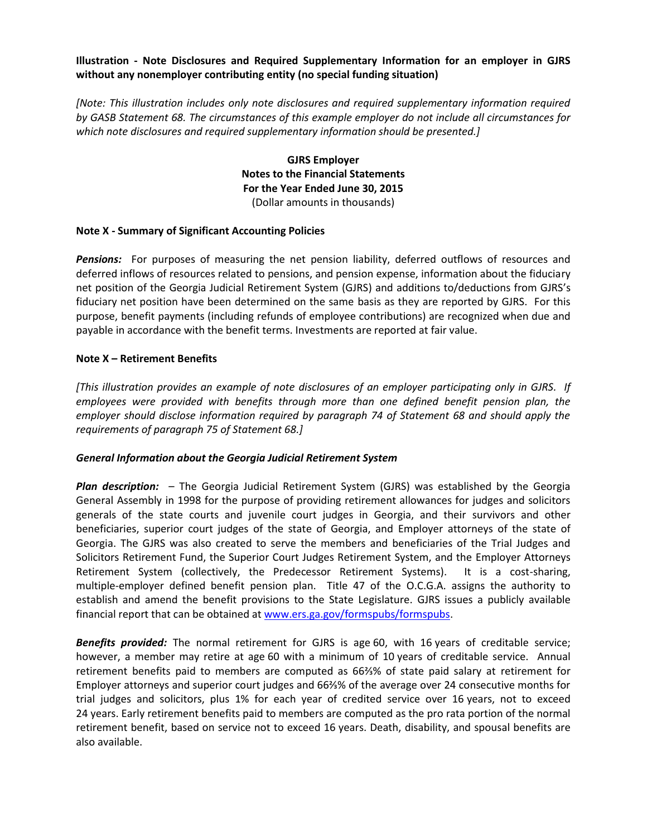### **Illustration - Note Disclosures and Required Supplementary Information for an employer in GJRS without any nonemployer contributing entity (no special funding situation)**

*[Note: This illustration includes only note disclosures and required supplementary information required by GASB Statement 68. The circumstances of this example employer do not include all circumstances for which note disclosures and required supplementary information should be presented.]*

> **GJRS Employer Notes to the Financial Statements For the Year Ended June 30, 2015** (Dollar amounts in thousands)

#### **Note X - Summary of Significant Accounting Policies**

*Pensions:* For purposes of measuring the net pension liability, deferred outflows of resources and deferred inflows of resources related to pensions, and pension expense, information about the fiduciary net position of the Georgia Judicial Retirement System (GJRS) and additions to/deductions from GJRS's fiduciary net position have been determined on the same basis as they are reported by GJRS. For this purpose, benefit payments (including refunds of employee contributions) are recognized when due and payable in accordance with the benefit terms. Investments are reported at fair value.

#### **Note X – Retirement Benefits**

*[This illustration provides an example of note disclosures of an employer participating only in GJRS. If employees were provided with benefits through more than one defined benefit pension plan, the employer should disclose information required by paragraph 74 of Statement 68 and should apply the requirements of paragraph 75 of Statement 68.]*

#### *General Information about the Georgia Judicial Retirement System*

*Plan description:* – The Georgia Judicial Retirement System (GJRS) was established by the Georgia General Assembly in 1998 for the purpose of providing retirement allowances for judges and solicitors generals of the state courts and juvenile court judges in Georgia, and their survivors and other beneficiaries, superior court judges of the state of Georgia, and Employer attorneys of the state of Georgia. The GJRS was also created to serve the members and beneficiaries of the Trial Judges and Solicitors Retirement Fund, the Superior Court Judges Retirement System, and the Employer Attorneys Retirement System (collectively, the Predecessor Retirement Systems). It is a cost-sharing, multiple-employer defined benefit pension plan. Title 47 of the O.C.G.A. assigns the authority to establish and amend the benefit provisions to the State Legislature. GJRS issues a publicly available financial report that can be obtained at [www.ers.ga.gov/formspubs/formspubs.](http://www.ers.ga.gov/formspubs/formspubs)

*Benefits provided:* The normal retirement for GJRS is age 60, with 16 years of creditable service; however, a member may retire at age 60 with a minimum of 10 years of creditable service. Annual retirement benefits paid to members are computed as 66⅔% of state paid salary at retirement for Employer attorneys and superior court judges and 66⅔% of the average over 24 consecutive months for trial judges and solicitors, plus 1% for each year of credited service over 16 years, not to exceed 24 years. Early retirement benefits paid to members are computed as the pro rata portion of the normal retirement benefit, based on service not to exceed 16 years. Death, disability, and spousal benefits are also available.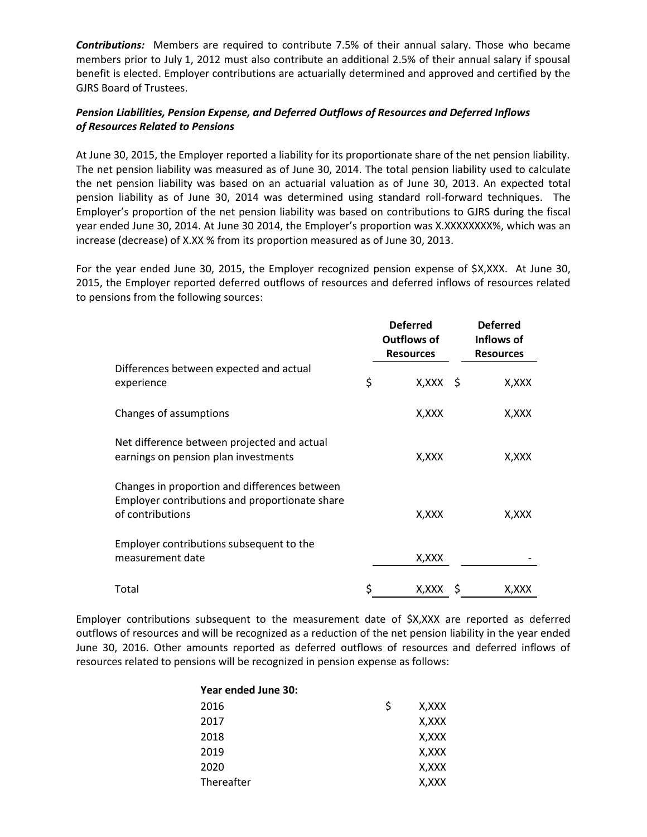*Contributions:* Members are required to contribute 7.5% of their annual salary. Those who became members prior to July 1, 2012 must also contribute an additional 2.5% of their annual salary if spousal benefit is elected. Employer contributions are actuarially determined and approved and certified by the GJRS Board of Trustees.

## *Pension Liabilities, Pension Expense, and Deferred Outflows of Resources and Deferred Inflows of Resources Related to Pensions*

At June 30, 2015, the Employer reported a liability for its proportionate share of the net pension liability. The net pension liability was measured as of June 30, 2014. The total pension liability used to calculate the net pension liability was based on an actuarial valuation as of June 30, 2013. An expected total pension liability as of June 30, 2014 was determined using standard roll-forward techniques. The Employer's proportion of the net pension liability was based on contributions to GJRS during the fiscal year ended June 30, 2014. At June 30 2014, the Employer's proportion was X.XXXXXXXX%, which was an increase (decrease) of X.XX % from its proportion measured as of June 30, 2013.

For the year ended June 30, 2015, the Employer recognized pension expense of \$X,XXX. At June 30, 2015, the Employer reported deferred outflows of resources and deferred inflows of resources related to pensions from the following sources:

|                                                                                                                     | <b>Deferred</b><br><b>Outflows of</b><br><b>Resources</b> |     | <b>Deferred</b><br>Inflows of<br><b>Resources</b> |
|---------------------------------------------------------------------------------------------------------------------|-----------------------------------------------------------|-----|---------------------------------------------------|
| Differences between expected and actual<br>experience                                                               | \$<br>$X, XXX \S$                                         |     | X,XXX                                             |
| Changes of assumptions                                                                                              | X,XXX                                                     |     | X, XXX                                            |
| Net difference between projected and actual<br>earnings on pension plan investments                                 | X,XXX                                                     |     | X, XXX                                            |
| Changes in proportion and differences between<br>Employer contributions and proportionate share<br>of contributions | X,XXX                                                     |     | X,XXX                                             |
| Employer contributions subsequent to the<br>measurement date                                                        | X, XXX                                                    |     |                                                   |
| Total                                                                                                               | \$<br>X,XXX                                               | - S | X,XXX                                             |

Employer contributions subsequent to the measurement date of \$X,XXX are reported as deferred outflows of resources and will be recognized as a reduction of the net pension liability in the year ended June 30, 2016. Other amounts reported as deferred outflows of resources and deferred inflows of resources related to pensions will be recognized in pension expense as follows:

# **Year ended June 30:** 2016  $\frac{1}{2}$  X,XXX 2017 X,XXX 2018 X,XXX 2019 X,XXX 2020 X,XXX Thereafter X, XXX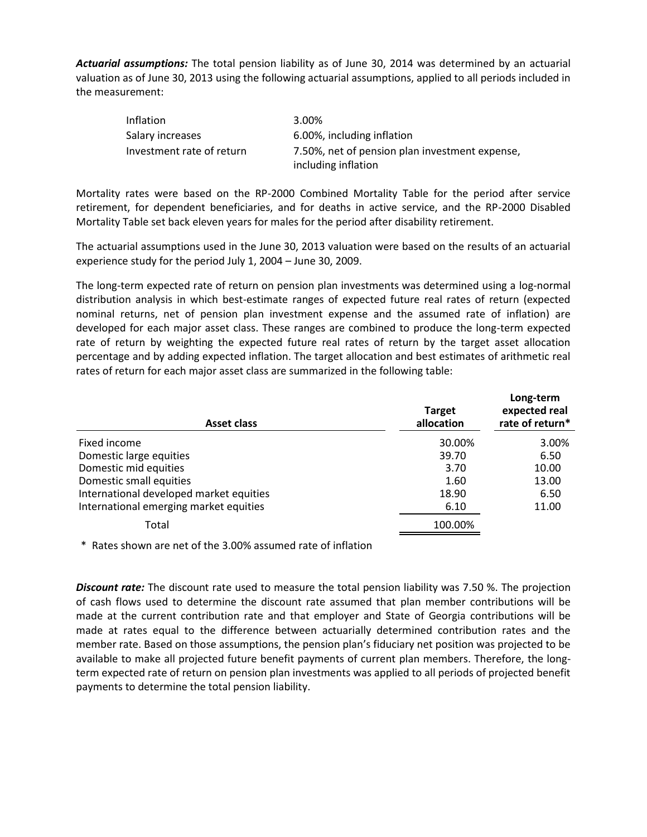*Actuarial assumptions:* The total pension liability as of June 30, 2014 was determined by an actuarial valuation as of June 30, 2013 using the following actuarial assumptions, applied to all periods included in the measurement:

| <b>Inflation</b>          | 3.00%                                          |
|---------------------------|------------------------------------------------|
| Salary increases          | 6.00%, including inflation                     |
| Investment rate of return | 7.50%, net of pension plan investment expense, |
|                           | including inflation                            |

Mortality rates were based on the RP-2000 Combined Mortality Table for the period after service retirement, for dependent beneficiaries, and for deaths in active service, and the RP-2000 Disabled Mortality Table set back eleven years for males for the period after disability retirement.

The actuarial assumptions used in the June 30, 2013 valuation were based on the results of an actuarial experience study for the period July 1, 2004 – June 30, 2009.

The long-term expected rate of return on pension plan investments was determined using a log-normal distribution analysis in which best-estimate ranges of expected future real rates of return (expected nominal returns, net of pension plan investment expense and the assumed rate of inflation) are developed for each major asset class. These ranges are combined to produce the long-term expected rate of return by weighting the expected future real rates of return by the target asset allocation percentage and by adding expected inflation. The target allocation and best estimates of arithmetic real rates of return for each major asset class are summarized in the following table:

| Asset class                             | <b>Target</b><br>allocation | Long-term<br>expected real<br>rate of return* |
|-----------------------------------------|-----------------------------|-----------------------------------------------|
| Fixed income                            | 30.00%                      | 3.00%                                         |
| Domestic large equities                 | 39.70                       | 6.50                                          |
| Domestic mid equities                   | 3.70                        | 10.00                                         |
| Domestic small equities                 | 1.60                        | 13.00                                         |
| International developed market equities | 18.90                       | 6.50                                          |
| International emerging market equities  | 6.10                        | 11.00                                         |
| Total                                   | 100.00%                     |                                               |

\* Rates shown are net of the 3.00% assumed rate of inflation

*Discount rate:* The discount rate used to measure the total pension liability was 7.50 %. The projection of cash flows used to determine the discount rate assumed that plan member contributions will be made at the current contribution rate and that employer and State of Georgia contributions will be made at rates equal to the difference between actuarially determined contribution rates and the member rate. Based on those assumptions, the pension plan's fiduciary net position was projected to be available to make all projected future benefit payments of current plan members. Therefore, the longterm expected rate of return on pension plan investments was applied to all periods of projected benefit payments to determine the total pension liability.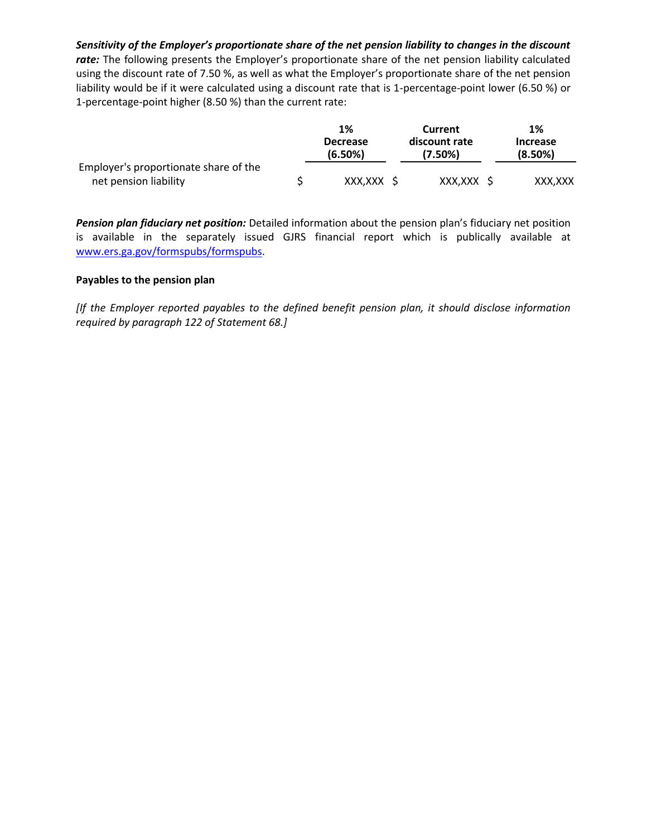*Sensitivity of the Employer's proportionate share of the net pension liability to changes in the discount*  rate: The following presents the Employer's proportionate share of the net pension liability calculated using the discount rate of 7.50 %, as well as what the Employer's proportionate share of the net pension liability would be if it were calculated using a discount rate that is 1-percentage-point lower (6.50 %) or 1-percentage-point higher (8.50 %) than the current rate:

|                                       | 1%                         | Current                  | 1%                         |
|---------------------------------------|----------------------------|--------------------------|----------------------------|
|                                       | <b>Decrease</b><br>(6.50%) | discount rate<br>(7.50%) | <b>Increase</b><br>(8.50%) |
| Employer's proportionate share of the |                            |                          |                            |
| net pension liability                 | XXX.XXX S                  | XXX,XXX \$               | XXX.XXX                    |

*Pension plan fiduciary net position:* Detailed information about the pension plan's fiduciary net position is available in the separately issued GJRS financial report which is publically available at [www.ers.ga.gov/formspubs/formspubs.](http://www.ers.ga.gov/formspubs/formspubs)

### **Payables to the pension plan**

*[If the Employer reported payables to the defined benefit pension plan, it should disclose information required by paragraph 122 of Statement 68.]*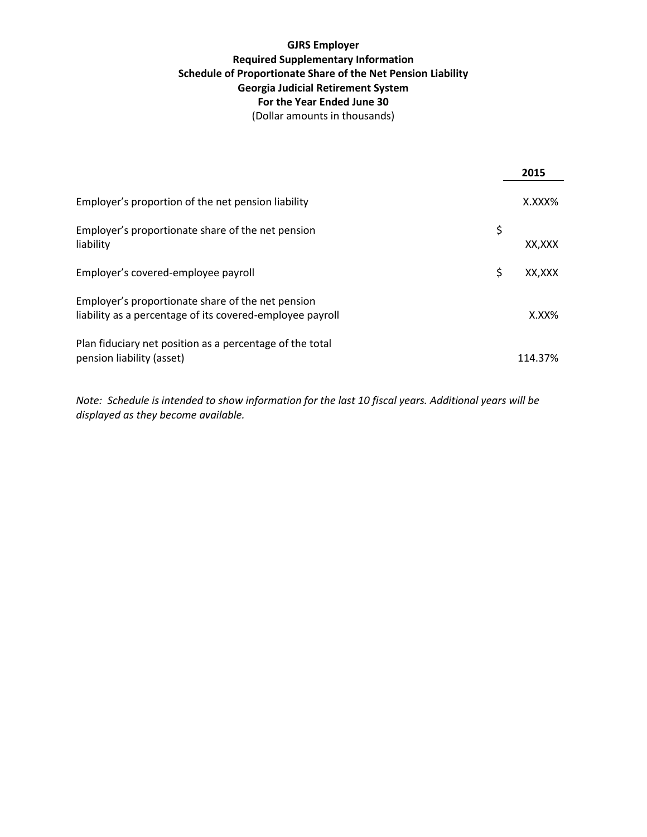## **GJRS Employer Required Supplementary Information Schedule of Proportionate Share of the Net Pension Liability Georgia Judicial Retirement System For the Year Ended June 30** (Dollar amounts in thousands)

|                                                                                                                | 2015         |
|----------------------------------------------------------------------------------------------------------------|--------------|
| Employer's proportion of the net pension liability                                                             | X.XXX%       |
| Employer's proportionate share of the net pension<br>liability                                                 | \$<br>XX.XXX |
| Employer's covered-employee payroll                                                                            | \$<br>XX,XXX |
| Employer's proportionate share of the net pension<br>liability as a percentage of its covered-employee payroll | $X.XX\%$     |
| Plan fiduciary net position as a percentage of the total<br>pension liability (asset)                          | 114.37%      |

*Note: Schedule is intended to show information for the last 10 fiscal years. Additional years will be displayed as they become available.*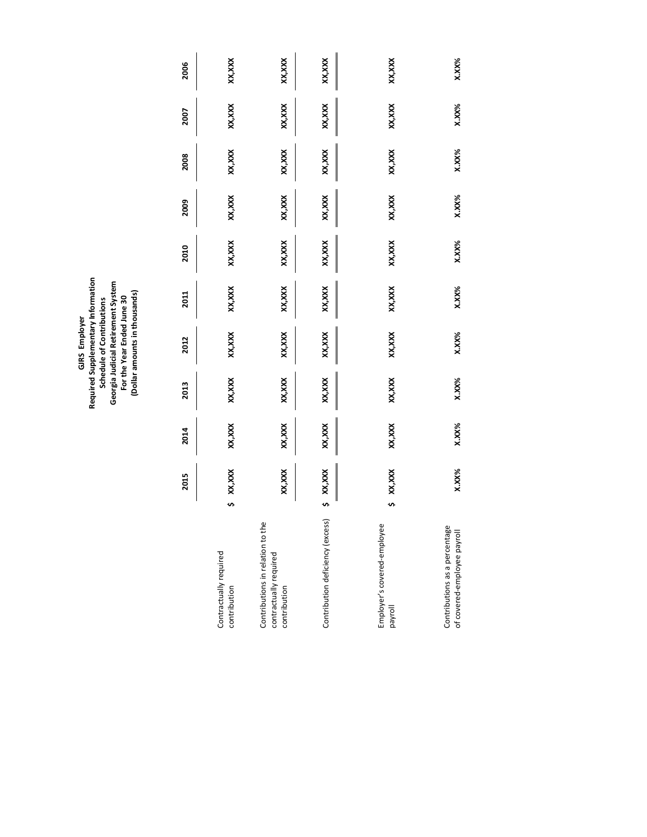GJRS Employer<br>Required Supplementary Information<br>Schedule of Contributions<br>Georgia Judicial Retirement System<br>For the Year Ended June 30<br>(Dollar amounts in thousands) **Required Supplementary Information Georgia Judicial Retirement System (Dollar amounts in thousands) For the Year Ended June 30 Schedule of Contributions GJRS Employer**

|                                                                            | 2015     | 2014     | 2013   | 2012     | 2011     | 2010     | 2009   | 2008    | 2007     | 2006     |
|----------------------------------------------------------------------------|----------|----------|--------|----------|----------|----------|--------|---------|----------|----------|
| Contractually required<br>contribution                                     | XX,XXX   | XX,XXX   | XX,XXX | XX, XXX  | XX,XXX   | XX,XXX   | XX,XXX | XX, XXX | XX,XXX   | xx,xxx   |
| Contributions in relation to the<br>contractually required<br>contribution | xxx,xxx  | XX,XXX   | XX,XXX | XX, XXX  | XX,XXX   | XX,XXX   | XX,XXX | XX, XXX | XX,XXX   | xx,xxx   |
| Contribution deficiency (excess                                            | XX,XXX   | XX,XXX   | XX,XXX | XX, XXX  | XX,XXX   | XX,XXX   | XX,XXX | XX, XXX | XX,XXX   | xx,xxx   |
| Employer's covered-employee<br>payroll                                     | xx,xxx   | XX,XXX   | XX,XXX | XX, XXX  | XX, XXX  | XX,XXX   | XX,XXX | XX, XXX | XX,XXX   | xx,xxx   |
| Contributions as a percentage<br>of covered-employee payroll               | $X.XX\%$ | $X.XX\%$ | X.XX%  | $X.XX\%$ | $X.XX\%$ | $X.XX\%$ | X.XX%  | X.XX%   | $X.XX\%$ | $X.XX\%$ |